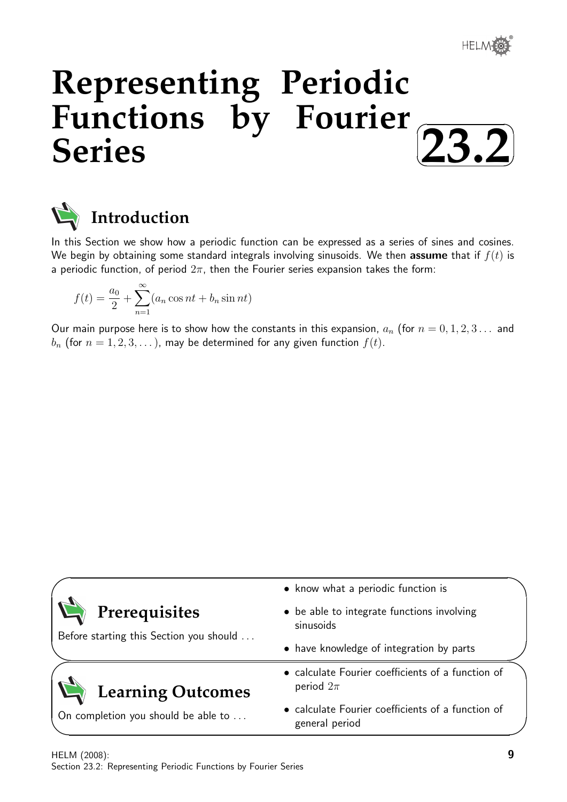

✏

# **Representing Periodic Functions by Fourier Series**  $\sqrt{2}$ ✒ **23.2**✑



In this Section we show how a periodic function can be expressed as a series of sines and cosines. We begin by obtaining some standard integrals involving sinusoids. We then assume that if  $f(t)$  is a periodic function, of period  $2\pi$ , then the Fourier series expansion takes the form:

$$
f(t) = \frac{a_0}{2} + \sum_{n=1}^{\infty} (a_n \cos nt + b_n \sin nt)
$$

Our main purpose here is to show how the constants in this expansion,  $a_n$  (for  $n = 0, 1, 2, 3...$  and  $b_n$  (for  $n = 1, 2, 3, ...$ ), may be determined for any given function  $f(t)$ .

|                                                          | • know what a periodic function is                                  |  |
|----------------------------------------------------------|---------------------------------------------------------------------|--|
| Prerequisites<br>Before starting this Section you should | • be able to integrate functions involving<br>sinusoids             |  |
|                                                          | • have knowledge of integration by parts                            |  |
| <b>Learning Outcomes</b>                                 | • calculate Fourier coefficients of a function of<br>period $2\pi$  |  |
| On completion you should be able to                      | • calculate Fourier coefficients of a function of<br>general period |  |

✧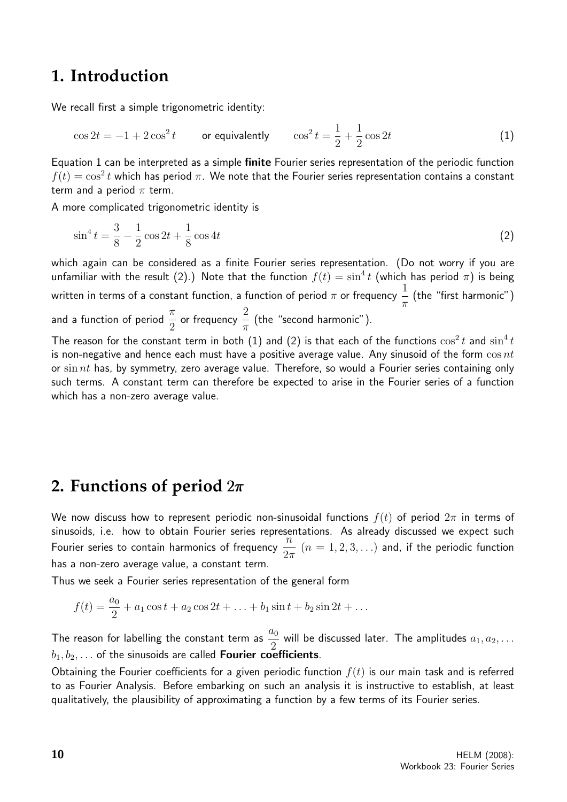## **1. Introduction**

We recall first a simple trigonometric identity:

$$
\cos 2t = -1 + 2\cos^2 t \qquad \text{or equivalently} \qquad \cos^2 t = \frac{1}{2} + \frac{1}{2}\cos 2t \tag{1}
$$

Equation 1 can be interpreted as a simple finite Fourier series representation of the periodic function  $f(t) = \cos^2 t$  which has period  $\pi.$  We note that the Fourier series representation contains a constant term and a period  $\pi$  term.

A more complicated trigonometric identity is

$$
\sin^4 t = \frac{3}{8} - \frac{1}{2}\cos 2t + \frac{1}{8}\cos 4t
$$
 (2)

which again can be considered as a finite Fourier series representation. (Do not worry if you are unfamiliar with the result (2).) Note that the function  $f(t)=\sin^4 t$  (which has period  $\pi)$  is being written in terms of a constant function, a function of period  $\pi$  or frequency  $\frac{1}{1}$  $\pi$ (the "first harmonic") and a function of period  $\frac{\pi}{2}$ 2 or frequency  $\overset{2}{-}$  $\pi$ (the "second harmonic").

The reason for the constant term in both (1) and (2) is that each of the functions  $\cos^2 t$  and  $\sin^4 t$ is non-negative and hence each must have a positive average value. Any sinusoid of the form  $\cos nt$ or sin nt has, by symmetry, zero average value. Therefore, so would a Fourier series containing only such terms. A constant term can therefore be expected to arise in the Fourier series of a function which has a non-zero average value.

## **2. Functions of period** 2π

We now discuss how to represent periodic non-sinusoidal functions  $f(t)$  of period  $2\pi$  in terms of sinusoids, i.e. how to obtain Fourier series representations. As already discussed we expect such  $\frac{m}{2}$  Fourier series to contain harmonics of frequency  $\frac{n}{2}$  $2\pi$  $(n = 1, 2, 3, ...)$  and, if the periodic function has a non-zero average value, a constant term.

Thus we seek a Fourier series representation of the general form

$$
f(t) = \frac{a_0}{2} + a_1 \cos t + a_2 \cos 2t + \ldots + b_1 \sin t + b_2 \sin 2t + \ldots
$$

The reason for labelling the constant term as  $\frac{a_0}{2}$  $\frac{a_0}{2}$  will be discussed later. The amplitudes  $a_1, a_2, \ldots$  $b_1, b_2, \ldots$  of the sinusoids are called **Fourier coefficients**.

Obtaining the Fourier coefficients for a given periodic function  $f(t)$  is our main task and is referred to as Fourier Analysis. Before embarking on such an analysis it is instructive to establish, at least qualitatively, the plausibility of approximating a function by a few terms of its Fourier series.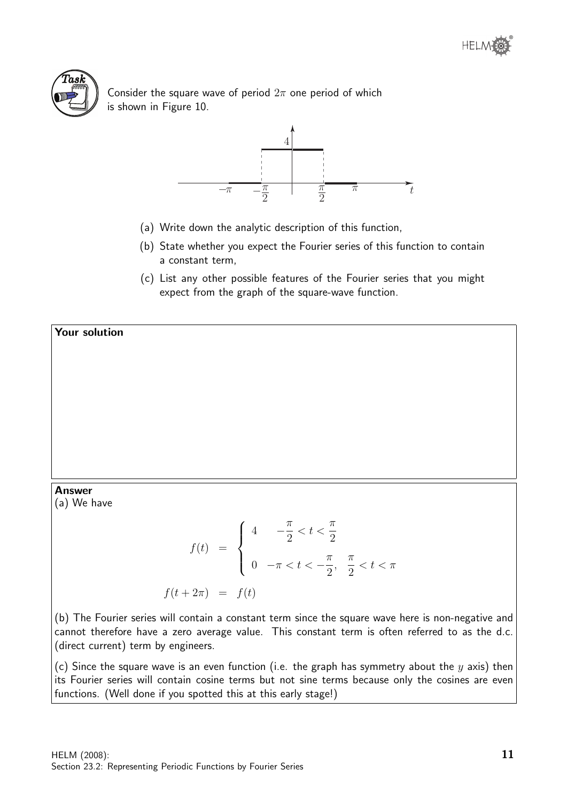

Consider the square wave of period  $2\pi$  one period of which is shown in Figure 10.



- (a) Write down the analytic description of this function,
- (b) State whether you expect the Fourier series of this function to contain a constant term,
- (c) List any other possible features of the Fourier series that you might expect from the graph of the square-wave function.

Your solution

#### Answer

(a) We have

$$
f(t) = \begin{cases} 4 & -\frac{\pi}{2} < t < \frac{\pi}{2} \\ 0 & -\pi < t < -\frac{\pi}{2}, \frac{\pi}{2} < t < \pi \end{cases}
$$
\n
$$
f(t + 2\pi) = f(t)
$$

(b) The Fourier series will contain a constant term since the square wave here is non-negative and cannot therefore have a zero average value. This constant term is often referred to as the d.c. (direct current) term by engineers.

(c) Since the square wave is an even function (i.e. the graph has symmetry about the  $y$  axis) then its Fourier series will contain cosine terms but not sine terms because only the cosines are even functions. (Well done if you spotted this at this early stage!)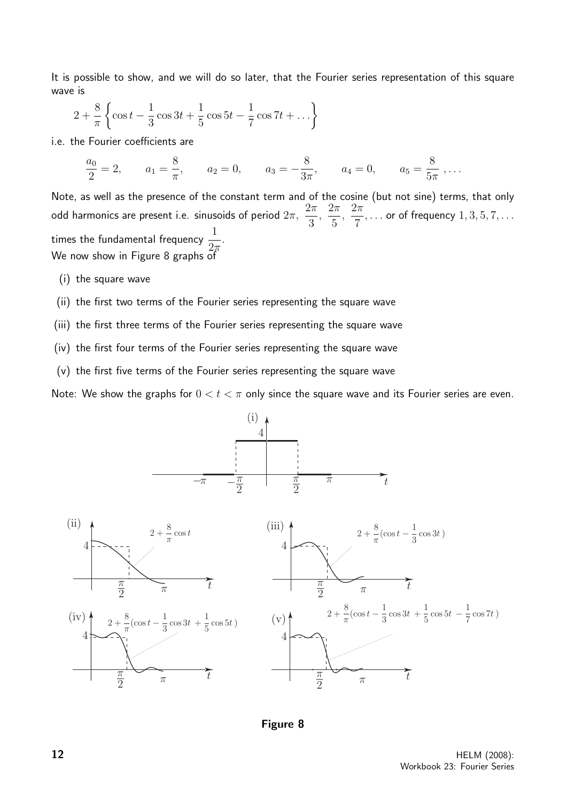It is possible to show, and we will do so later, that the Fourier series representation of this square wave is

$$
2 + \frac{8}{\pi} \left\{ \cos t - \frac{1}{3} \cos 3t + \frac{1}{5} \cos 5t - \frac{1}{7} \cos 7t + \dots \right\}
$$

i.e. the Fourier coefficients are

$$
\frac{a_0}{2} = 2, \qquad a_1 = \frac{8}{\pi}, \qquad a_2 = 0, \qquad a_3 = -\frac{8}{3\pi}, \qquad a_4 = 0, \qquad a_5 = \frac{8}{5\pi}, \ldots
$$

Note, as well as the presence of the constant term and of the cosine (but not sine) terms, that only odd harmonics are present i.e. sinusoids of period  $2\pi,$  $2\pi$ 3 ,  $2\pi$ 5 ,  $2\pi$ 7  $, \ldots$  or of frequency  $1, 3, 5, 7, \ldots$ times the fundamental frequency  $\frac{1}{2}$  $2\pi$ . We now show in Figure 8 graphs of

- (i) the square wave
- (ii) the first two terms of the Fourier series representing the square wave
- (iii) the first three terms of the Fourier series representing the square wave
- (iv) the first four terms of the Fourier series representing the square wave
- (v) the first five terms of the Fourier series representing the square wave

Note: We show the graphs for  $0 < t < \pi$  only since the square wave and its Fourier series are even.





**12** HELM (2008): Workbook 23: Fourier Series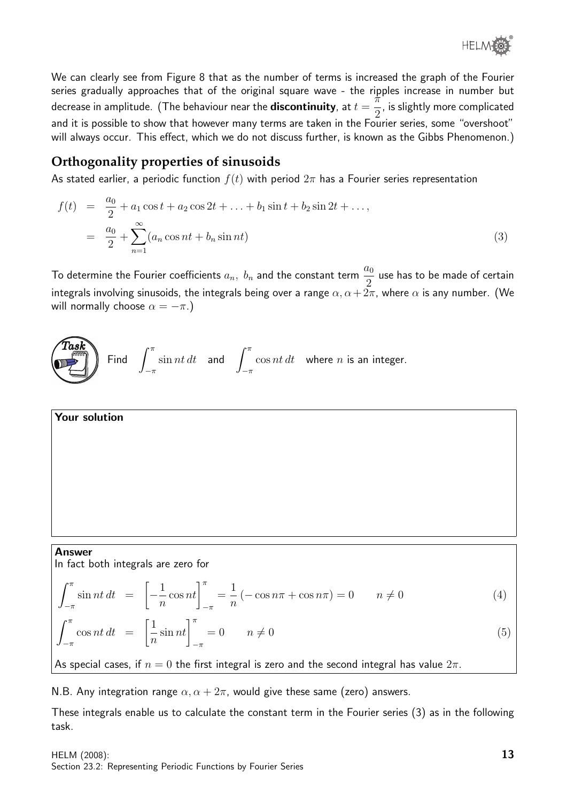

We can clearly see from Figure 8 that as the number of terms is increased the graph of the Fourier series gradually approaches that of the original square wave - the ripples increase in number but decrease in amplitude. (The behaviour near the  $\bf{discontinuity}$ , at  $t=$ π 2 , is slightly more complicated and it is possible to show that however many terms are taken in the Fourier series, some "overshoot" will always occur. This effect, which we do not discuss further, is known as the Gibbs Phenomenon.)

### **Orthogonality properties of sinusoids**

As stated earlier, a periodic function  $f(t)$  with period  $2\pi$  has a Fourier series representation

$$
f(t) = \frac{a_0}{2} + a_1 \cos t + a_2 \cos 2t + \dots + b_1 \sin t + b_2 \sin 2t + \dots,
$$
  

$$
= \frac{a_0}{2} + \sum_{n=1}^{\infty} (a_n \cos nt + b_n \sin nt)
$$
 (3)

To determine the Fourier coefficients  $a_n, b_n$  and the constant term  $\frac{a_0}{2}$ use has to be made of certain integrals involving sinusoids, the integrals being over a range  $\alpha, \alpha + 2\pi$ , where  $\alpha$  is any number. (We will normally choose  $\alpha = -\pi$ .)



Your solution

#### Answer

In fact both integrals are zero for

$$
\int_{-\pi}^{\pi} \sin nt \, dt = \left[ -\frac{1}{n} \cos nt \right]_{-\pi}^{\pi} = \frac{1}{n} \left( -\cos n\pi + \cos n\pi \right) = 0 \qquad n \neq 0 \tag{4}
$$
\n
$$
\int_{-\pi}^{\pi} \cos nt \, dt = \left[ \frac{1}{n} \sin nt \right]_{-\pi}^{\pi} = 0 \qquad n \neq 0 \tag{5}
$$

As special cases, if  $n = 0$  the first integral is zero and the second integral has value  $2\pi$ .

N.B. Any integration range  $\alpha$ ,  $\alpha + 2\pi$ , would give these same (zero) answers.

These integrals enable us to calculate the constant term in the Fourier series (3) as in the following task.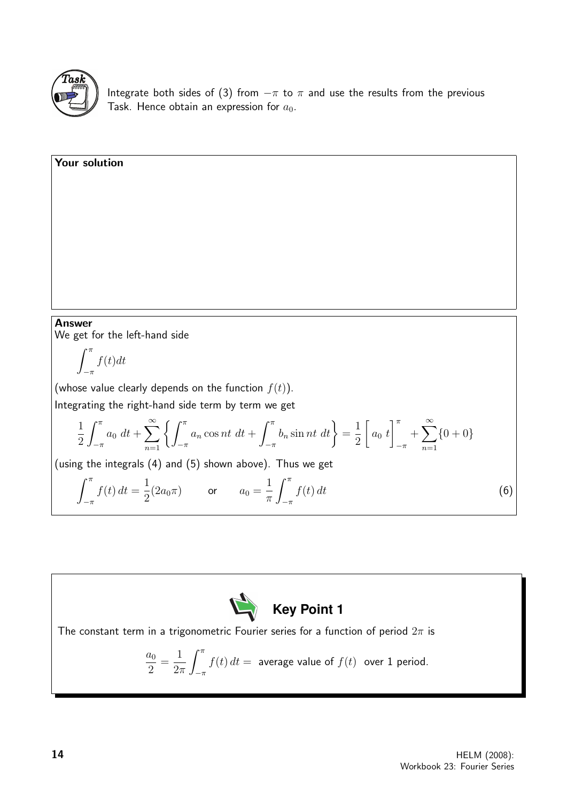

Your solution

Integrate both sides of (3) from  $-\pi$  to  $\pi$  and use the results from the previous Task. Hence obtain an expression for  $a_0$ .

Answer We get for the left-hand side

$$
\int_{-\pi}^{\pi} f(t)dt
$$

(whose value clearly depends on the function  $f(t)$ ). Integrating the right-hand side term by term we get

$$
\frac{1}{2} \int_{-\pi}^{\pi} a_0 \, dt + \sum_{n=1}^{\infty} \left\{ \int_{-\pi}^{\pi} a_n \cos nt \, dt + \int_{-\pi}^{\pi} b_n \sin nt \, dt \right\} = \frac{1}{2} \left[ a_0 \, t \right]_{-\pi}^{\pi} + \sum_{n=1}^{\infty} \{0 + 0\}
$$

(using the integrals (4) and (5) shown above). Thus we get

$$
\int_{-\pi}^{\pi} f(t) dt = \frac{1}{2} (2a_0 \pi) \qquad \text{or} \qquad a_0 = \frac{1}{\pi} \int_{-\pi}^{\pi} f(t) dt \tag{6}
$$



The constant term in a trigonometric Fourier series for a function of period  $2\pi$  is

$$
\frac{a_0}{2} = \frac{1}{2\pi} \int_{-\pi}^{\pi} f(t) dt = \text{ average value of } f(t) \text{ over 1 period.}
$$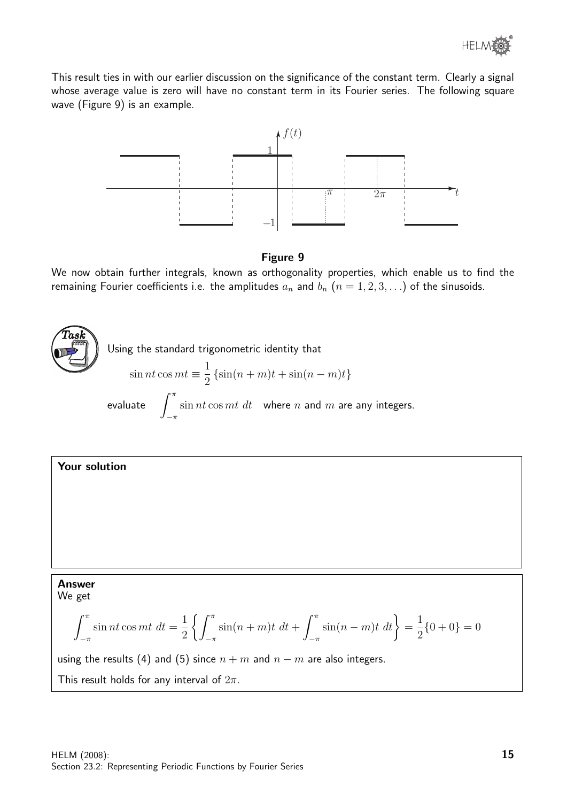

This result ties in with our earlier discussion on the significance of the constant term. Clearly a signal whose average value is zero will have no constant term in its Fourier series. The following square wave (Figure 9) is an example.



#### Figure 9

We now obtain further integrals, known as orthogonality properties, which enable us to find the remaining Fourier coefficients i.e. the amplitudes  $a_n$  and  $b_n$   $(n = 1, 2, 3, ...)$  of the sinusoids.





using the results (4) and (5) since  $n + m$  and  $n - m$  are also integers.

This result holds for any interval of  $2\pi$ .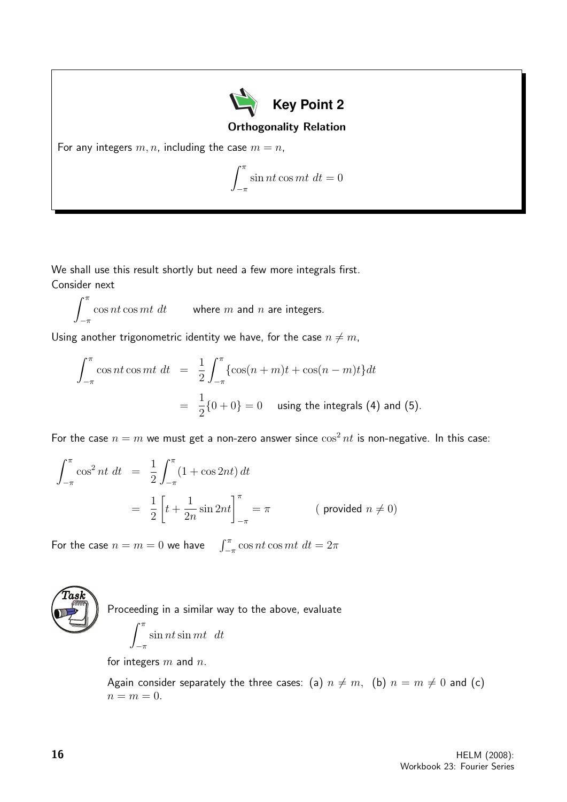

Orthogonality Relation

For any integers  $m, n$ , including the case  $m = n$ ,

$$
\int_{-\pi}^{\pi} \sin nt \cos mt \, dt = 0
$$

We shall use this result shortly but need a few more integrals first. Consider next

 $\int_0^{\pi} \cos nt \cos mt \, dt$  where m and n are integers.  $-\pi$ 

Using another trigonometric identity we have, for the case  $n \neq m$ ,

$$
\int_{-\pi}^{\pi} \cos nt \cos mt \, dt = \frac{1}{2} \int_{-\pi}^{\pi} \{ \cos(n+m)t + \cos(n-m)t \} dt
$$

$$
= \frac{1}{2} \{ 0 + 0 \} = 0 \quad \text{using the integrals (4) and (5).}
$$

For the case  $n = m$  we must get a non-zero answer since  $\cos^2 nt$  is non-negative. In this case:

$$
\int_{-\pi}^{\pi} \cos^2 nt \, dt = \frac{1}{2} \int_{-\pi}^{\pi} (1 + \cos 2nt) \, dt
$$
  
=  $\frac{1}{2} \left[ t + \frac{1}{2n} \sin 2nt \right]_{-\pi}^{\pi} = \pi$  (provided  $n \neq 0$ )

For the case  $n = m = 0$  we have  $\int_{-\pi}^{\pi} \cos nt \cos mt \, dt = 2\pi$ 



Proceeding in a similar way to the above, evaluate

$$
\int_{-\pi}^{\pi} \sin nt \sin mt \ dt
$$

for integers  $m$  and  $n$ .

Again consider separately the three cases: (a)  $n \neq m$ , (b)  $n = m \neq 0$  and (c)  $n = m = 0.$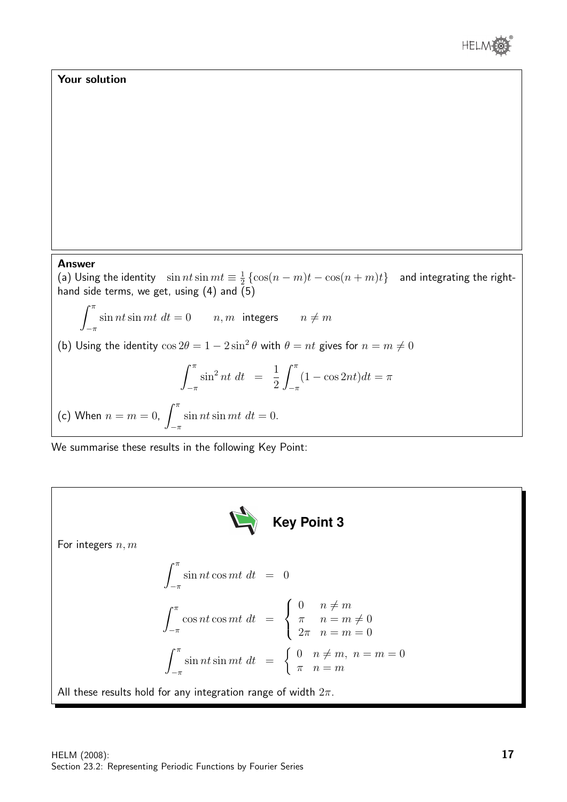

### Your solution

#### Answer

(a) Using the identity  $\sin nt \sin mt \equiv \frac{1}{2}$  $\frac{1}{2} \left\{ \cos(n-m)t - \cos(n+m)t \right\}$  and integrating the righthand side terms, we get, using (4) and  $(5)$ 

 $\int_0^\pi$  $-\pi$  $\sin nt \sin mt \, dt = 0$   $n, m$  integers  $n \neq m$ (b) Using the identity  $\cos 2\theta = 1 - 2\sin^2 \theta$  with  $\theta = nt$  gives for  $n = m \neq 0$  $\int_0^\pi$  $-\pi$  $\sin^2 nt \, dt = \frac{1}{2}$ 2  $\int_0^\pi$  $-\pi$  $(1 - \cos 2nt)dt = \pi$ (c) When  $n = m = 0$ ,  $\int_0^{\pi}$  $\sin nt \sin mt \, dt = 0.$ 

We summarise these results in the following Key Point:

 $-\pi$ 

For integers *n*, *m*  
\n
$$
\int_{-\pi}^{\pi} \sin nt \cos mt \, dt = 0
$$
\n
$$
\int_{-\pi}^{\pi} \cos nt \cos mt \, dt = \begin{cases}\n0 & n \neq m \\
\pi & n = m \neq 0 \\
2\pi & n = m = 0\n\end{cases}
$$
\n
$$
\int_{-\pi}^{\pi} \sin nt \sin mt \, dt = \begin{cases}\n0 & n \neq m, n = m = 0 \\
\pi & n = m\n\end{cases}
$$
\nAll these results hold for any integration range of width  $2\pi$ .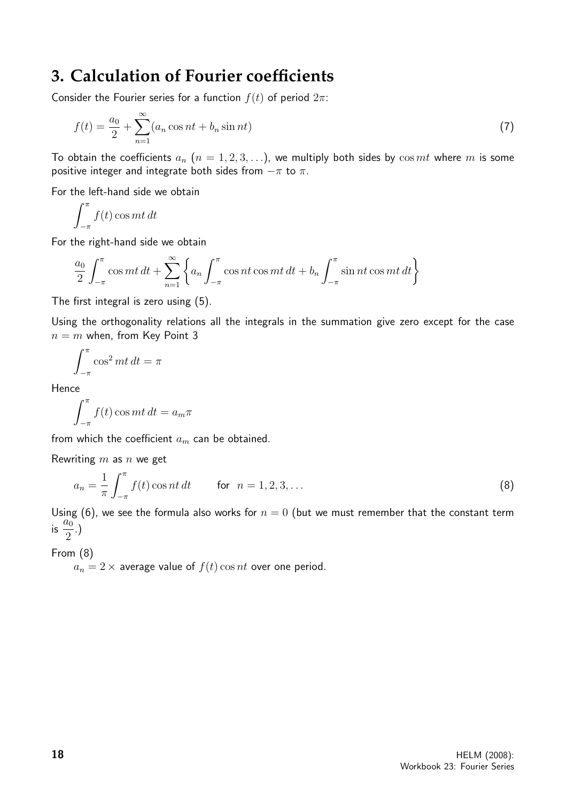# **3. Calculation of Fourier coefficients**

Consider the Fourier series for a function  $f(t)$  of period  $2\pi$ :

$$
f(t) = \frac{a_0}{2} + \sum_{n=1}^{\infty} (a_n \cos nt + b_n \sin nt)
$$
 (7)

To obtain the coefficients  $a_n$   $(n = 1, 2, 3, ...)$ , we multiply both sides by  $\cos mt$  where m is some positive integer and integrate both sides from  $-\pi$  to  $\pi$ .

For the left-hand side we obtain

$$
\int_{-\pi}^{\pi} f(t) \cos mt \, dt
$$

For the right-hand side we obtain

$$
\frac{a_0}{2} \int_{-\pi}^{\pi} \cos mt \, dt + \sum_{n=1}^{\infty} \left\{ a_n \int_{-\pi}^{\pi} \cos nt \cos mt \, dt + b_n \int_{-\pi}^{\pi} \sin nt \cos mt \, dt \right\}
$$

The first integral is zero using (5).

Using the orthogonality relations all the integrals in the summation give zero except for the case  $n = m$  when, from Key Point 3

$$
\int_{-\pi}^{\pi} \cos^2 mt \, dt = \pi
$$

Hence

$$
\int_{-\pi}^{\pi} f(t) \cos mt \, dt = a_m \pi
$$

from which the coefficient  $a_m$  can be obtained.

Rewriting  $m$  as  $n$  we get

$$
a_n = \frac{1}{\pi} \int_{-\pi}^{\pi} f(t) \cos nt \, dt \qquad \text{for} \ \ n = 1, 2, 3, \dots \tag{8}
$$

Using (6), we see the formula also works for  $n = 0$  (but we must remember that the constant term  $\frac{a_0}{\sin \frac{a_0}{a_0}}$ 2 .)

From (8)

 $a_n = 2 \times$  average value of  $f(t) \cos nt$  over one period.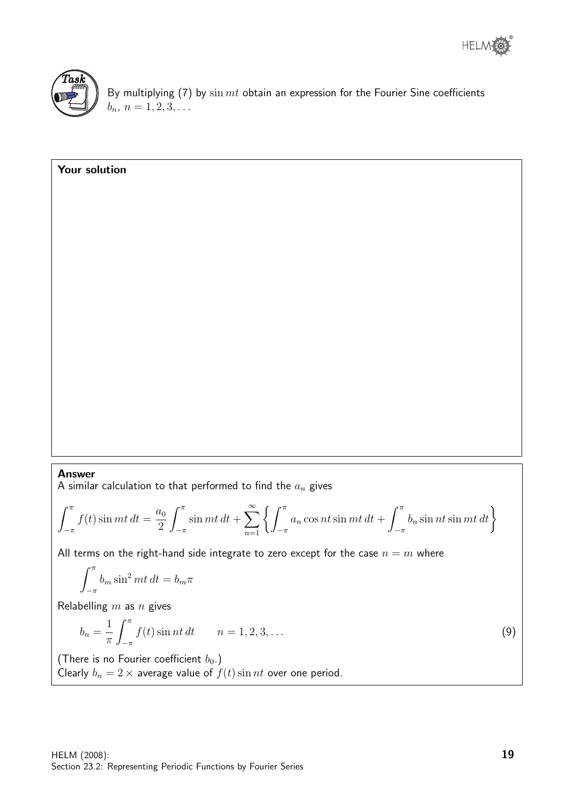



Your solution

By multiplying  $(7)$  by  $\sin mt$  obtain an expression for the Fourier Sine coefficients  $b_n, n = 1, 2, 3, \ldots$ 

## Answer

A similar calculation to that performed to find the  $a_n$  gives

$$
\int_{-\pi}^{\pi} f(t) \sin mt \, dt = \frac{a_0}{2} \int_{-\pi}^{\pi} \sin mt \, dt + \sum_{n=1}^{\infty} \left\{ \int_{-\pi}^{\pi} a_n \cos nt \sin mt \, dt + \int_{-\pi}^{\pi} b_n \sin nt \sin mt \, dt \right\}
$$

All terms on the right-hand side integrate to zero except for the case  $n = m$  where

$$
\int_{-\pi}^{\pi} b_m \sin^2 mt \, dt = b_m \pi
$$

Relabelling  $m$  as  $n$  gives

$$
b_n = \frac{1}{\pi} \int_{-\pi}^{\pi} f(t) \sin nt \, dt \qquad n = 1, 2, 3, \dots \tag{9}
$$

(There is no Fourier coefficient  $b_0$ .) Clearly  $b_n = 2 \times$  average value of  $f(t) \sin nt$  over one period.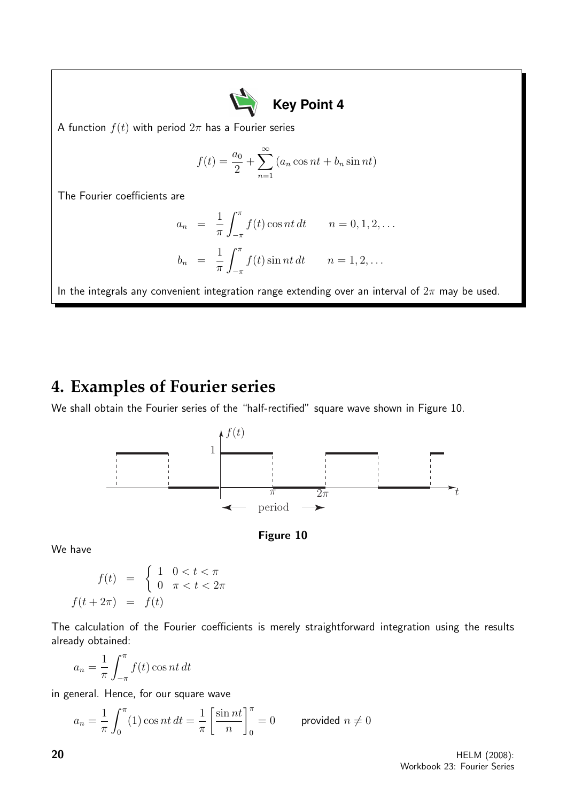

A function  $f(t)$  with period  $2\pi$  has a Fourier series

$$
f(t) = \frac{a_0}{2} + \sum_{n=1}^{\infty} (a_n \cos nt + b_n \sin nt)
$$

The Fourier coefficients are

$$
a_n = \frac{1}{\pi} \int_{-\pi}^{\pi} f(t) \cos nt \, dt \qquad n = 0, 1, 2, \dots
$$
  

$$
b_n = \frac{1}{\pi} \int_{-\pi}^{\pi} f(t) \sin nt \, dt \qquad n = 1, 2, \dots
$$

In the integrals any convenient integration range extending over an interval of  $2\pi$  may be used.

# **4. Examples of Fourier series**

We shall obtain the Fourier series of the "half-rectified" square wave shown in Figure 10.





We have

$$
f(t) = \begin{cases} 1 & 0 < t < \pi \\ 0 & \pi < t < 2\pi \end{cases}
$$

$$
f(t + 2\pi) = f(t)
$$

The calculation of the Fourier coefficients is merely straightforward integration using the results already obtained:

$$
a_n = \frac{1}{\pi} \int_{-\pi}^{\pi} f(t) \cos nt \, dt
$$

in general. Hence, for our square wave

$$
a_n = \frac{1}{\pi} \int_0^{\pi} (1) \cos nt \, dt = \frac{1}{\pi} \left[ \frac{\sin nt}{n} \right]_0^{\pi} = 0 \qquad \text{provided } n \neq 0
$$

20 HELM (2008): Workbook 23: Fourier Series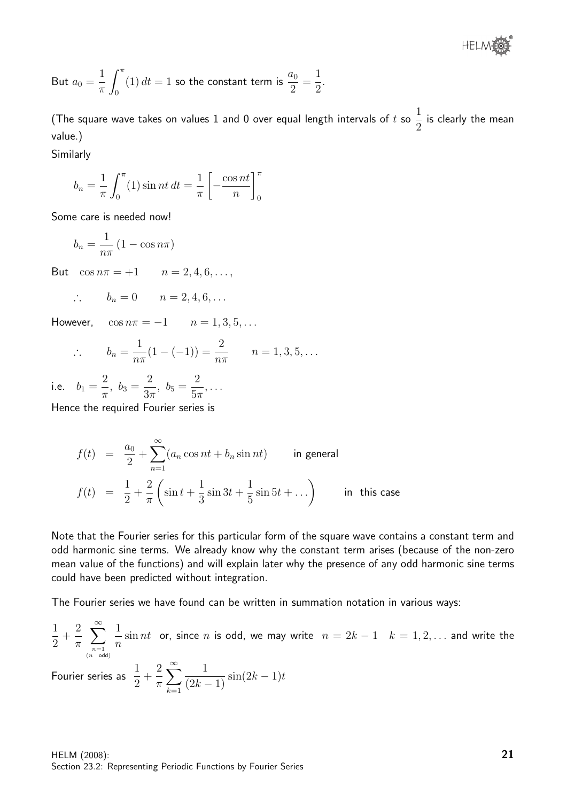®

But 
$$
a_0 = \frac{1}{\pi} \int_0^{\pi} (1) dt = 1
$$
 so the constant term is  $\frac{a_0}{2} = \frac{1}{2}$ .

(The square wave takes on values 1 and 0 over equal length intervals of  $t$  so 1 2 is clearly the mean value.)

Similarly

$$
b_n = \frac{1}{\pi} \int_0^{\pi} (1) \sin nt \, dt = \frac{1}{\pi} \left[ -\frac{\cos nt}{n} \right]_0^{\pi}
$$

Some care is needed now!

$$
b_n = \frac{1}{n\pi} \left( 1 - \cos n\pi \right)
$$

But  $\cos n\pi = +1$   $n = 2, 4, 6, \ldots,$ 

$$
\therefore \qquad b_n = 0 \qquad n = 2, 4, 6, \dots
$$

However,  $\cos n\pi = -1$   $n = 1, 3, 5, ...$ 

$$
\therefore \qquad b_n = \frac{1}{n\pi} (1 - (-1)) = \frac{2}{n\pi} \qquad n = 1, 3, 5, \dots
$$

i.e.  $b_1 =$ 2  $\frac{2}{\pi}$ ,  $b_3 =$ 2  $rac{2}{3\pi}$ ,  $b_5 =$ 2  $5\pi$ , . . .

Hence the required Fourier series is

$$
f(t) = \frac{a_0}{2} + \sum_{n=1}^{\infty} (a_n \cos nt + b_n \sin nt)
$$
 in general  

$$
f(t) = \frac{1}{2} + \frac{2}{\pi} \left( \sin t + \frac{1}{3} \sin 3t + \frac{1}{5} \sin 5t + \dots \right)
$$
 in this case

Note that the Fourier series for this particular form of the square wave contains a constant term and odd harmonic sine terms. We already know why the constant term arises (because of the non-zero mean value of the functions) and will explain later why the presence of any odd harmonic sine terms could have been predicted without integration.

The Fourier series we have found can be written in summation notation in various ways:

$$
\frac{1}{2} + \frac{2}{\pi} \sum_{\substack{n=1 \ n \text{ odd}}}^{\infty} \frac{1}{n} \sin nt
$$
 or, since *n* is odd, we may write  $n = 2k - 1$   $k = 1, 2, ...$  and write the Fourier series as  $\frac{1}{2} + \frac{2}{\pi} \sum_{k=1}^{\infty} \frac{1}{(2k-1)} \sin(2k-1)t$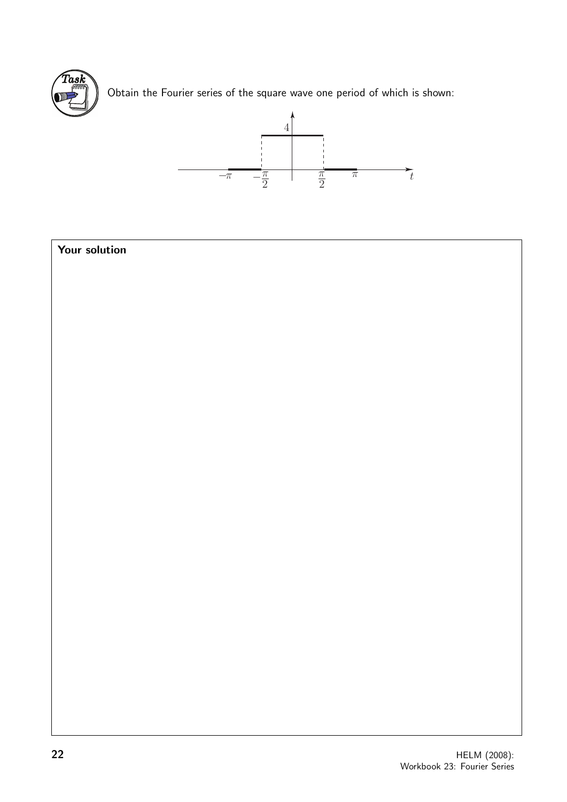

Obtain the Fourier series of the square wave one period of which is shown:



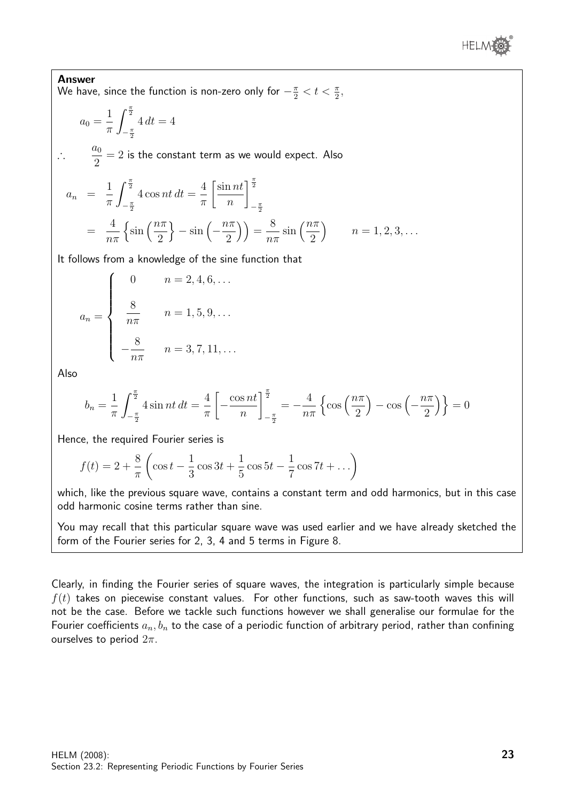

Answer We have, since the function is non-zero only for  $-\frac{\pi}{2} < t < \frac{\pi}{2}$ ,

$$
a_0 = \frac{1}{\pi} \int_{-\frac{\pi}{2}}^{\frac{\pi}{2}} 4 \, dt = 4
$$

∴  $a_0$ 2  $= 2$  is the constant term as we would expect. Also

$$
a_n = \frac{1}{\pi} \int_{-\frac{\pi}{2}}^{\frac{\pi}{2}} 4 \cos nt \, dt = \frac{4}{\pi} \left[ \frac{\sin nt}{n} \right]_{-\frac{\pi}{2}}^{\frac{\pi}{2}}
$$
  
=  $\frac{4}{n\pi} \left\{ \sin \left( \frac{n\pi}{2} \right) - \sin \left( -\frac{n\pi}{2} \right) \right\} = \frac{8}{n\pi} \sin \left( \frac{n\pi}{2} \right) \qquad n = 1, 2, 3, ...$ 

It follows from a knowledge of the sine function that

$$
a_n = \begin{cases} 0 & n = 2, 4, 6, ... \\ \frac{8}{n\pi} & n = 1, 5, 9, ... \\ -\frac{8}{n\pi} & n = 3, 7, 11, ... \end{cases}
$$

Also

$$
b_n = \frac{1}{\pi} \int_{-\frac{\pi}{2}}^{\frac{\pi}{2}} 4 \sin nt \, dt = \frac{4}{\pi} \left[ -\frac{\cos nt}{n} \right]_{-\frac{\pi}{2}}^{\frac{\pi}{2}} = -\frac{4}{n\pi} \left\{ \cos \left( \frac{n\pi}{2} \right) - \cos \left( -\frac{n\pi}{2} \right) \right\} = 0
$$

Hence, the required Fourier series is

$$
f(t) = 2 + \frac{8}{\pi} \left( \cos t - \frac{1}{3} \cos 3t + \frac{1}{5} \cos 5t - \frac{1}{7} \cos 7t + \dots \right)
$$

which, like the previous square wave, contains a constant term and odd harmonics, but in this case odd harmonic cosine terms rather than sine.

You may recall that this particular square wave was used earlier and we have already sketched the form of the Fourier series for 2, 3, 4 and 5 terms in Figure 8.

Clearly, in finding the Fourier series of square waves, the integration is particularly simple because  $f(t)$  takes on piecewise constant values. For other functions, such as saw-tooth waves this will not be the case. Before we tackle such functions however we shall generalise our formulae for the Fourier coefficients  $a_n, b_n$  to the case of a periodic function of arbitrary period, rather than confining ourselves to period  $2\pi$ .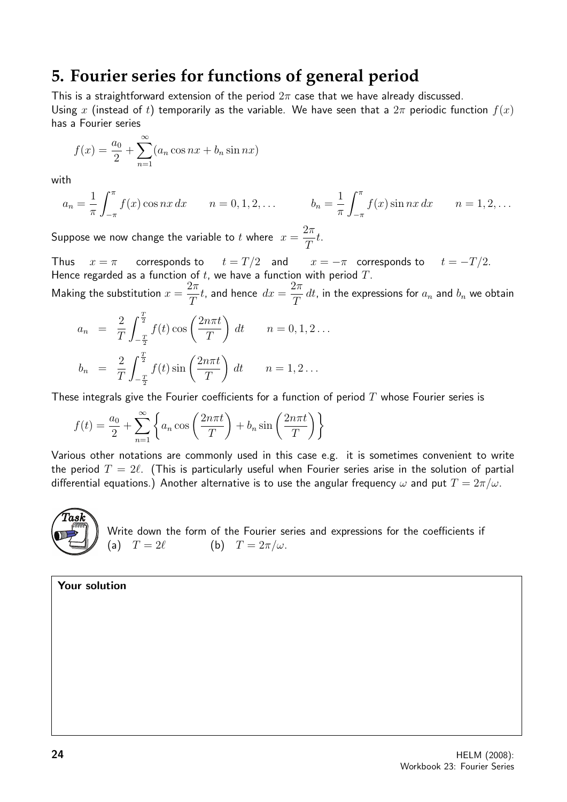# **5. Fourier series for functions of general period**

This is a straightforward extension of the period  $2\pi$  case that we have already discussed. Using x (instead of t) temporarily as the variable. We have seen that a  $2\pi$  periodic function  $f(x)$ has a Fourier series

$$
f(x) = \frac{a_0}{2} + \sum_{n=1}^{\infty} (a_n \cos nx + b_n \sin nx)
$$

with

$$
a_n = \frac{1}{\pi} \int_{-\pi}^{\pi} f(x) \cos nx \, dx \qquad n = 0, 1, 2, \dots \qquad b_n = \frac{1}{\pi} \int_{-\pi}^{\pi} f(x) \sin nx \, dx \qquad n = 1, 2, \dots
$$

Suppose we now change the variable to  $t$  where  $x =$  $2\pi$ T t.

Thus  $x = \pi$  corresponds to  $t = T/2$  and  $x = -\pi$  corresponds to  $t = -T/2$ . Hence regarded as a function of  $t$ , we have a function with period  $T$ .

Making the substitution  $x =$  $2\pi$ T  $t$ , and hence  $dx =$  $2\pi$  $\frac{d}{dt}$  dt, in the expressions for  $a_n$  and  $b_n$  we obtain

$$
a_n = \frac{2}{T} \int_{-\frac{T}{2}}^{\frac{T}{2}} f(t) \cos\left(\frac{2n\pi t}{T}\right) dt \qquad n = 0, 1, 2 \dots
$$
  

$$
b_n = \frac{2}{T} \int_{-\frac{T}{2}}^{\frac{T}{2}} f(t) \sin\left(\frac{2n\pi t}{T}\right) dt \qquad n = 1, 2 \dots
$$

These integrals give the Fourier coefficients for a function of period  $T$  whose Fourier series is

$$
f(t) = \frac{a_0}{2} + \sum_{n=1}^{\infty} \left\{ a_n \cos\left(\frac{2n\pi t}{T}\right) + b_n \sin\left(\frac{2n\pi t}{T}\right) \right\}
$$

Various other notations are commonly used in this case e.g. it is sometimes convenient to write the period  $T = 2\ell$ . (This is particularly useful when Fourier series arise in the solution of partial differential equations.) Another alternative is to use the angular frequency  $\omega$  and put  $T = 2\pi/\omega$ .



Write down the form of the Fourier series and expressions for the coefficients if (a)  $T = 2\ell$  (b)  $T = 2\pi/\omega$ .

Your solution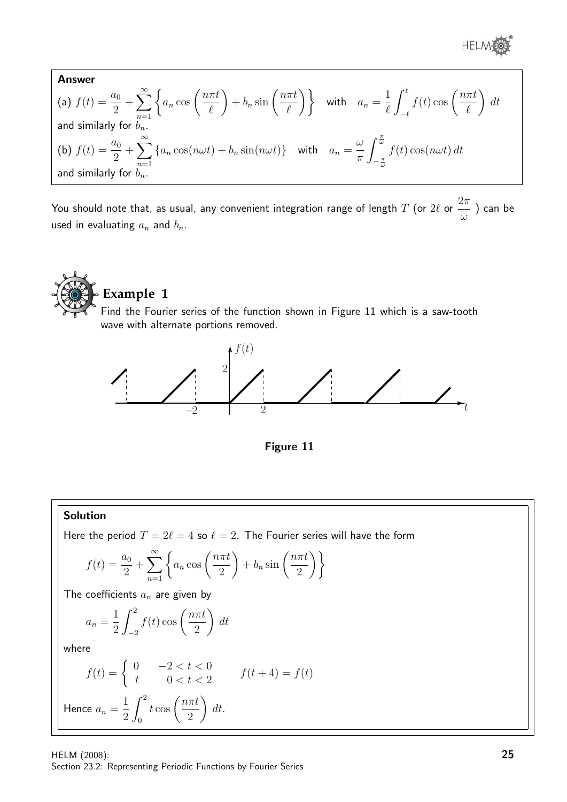® HELM

Answer  
\n(a) 
$$
f(t) = \frac{a_0}{2} + \sum_{n=1}^{\infty} \left\{ a_n \cos\left(\frac{n\pi t}{\ell}\right) + b_n \sin\left(\frac{n\pi t}{\ell}\right) \right\}
$$
 with  $a_n = \frac{1}{\ell} \int_{-\ell}^{\ell} f(t) \cos\left(\frac{n\pi t}{\ell}\right) dt$   
\nand similarly for  $b_n$ .  
\n(b)  $f(t) = \frac{a_0}{2} + \sum_{n=1}^{\infty} \left\{ a_n \cos(n\omega t) + b_n \sin(n\omega t) \right\}$  with  $a_n = \frac{\omega}{\pi} \int_{-\frac{\pi}{\omega}}^{\frac{\pi}{\omega}} f(t) \cos(n\omega t) dt$   
\nand similarly for  $b_n$ .

You should note that, as usual, any convenient integration range of length  $T$  (or  $2\ell$  or  $2\pi$ ω ) can be used in evaluating  $a_n$  and  $b_n$ .





### Solution

Here the period  $T = 2\ell = 4$  so  $\ell = 2$ . The Fourier series will have the form

$$
f(t) = \frac{a_0}{2} + \sum_{n=1}^{\infty} \left\{ a_n \cos\left(\frac{n\pi t}{2}\right) + b_n \sin\left(\frac{n\pi t}{2}\right) \right\}
$$

The coefficients  $a_n$  are given by

$$
a_n = \frac{1}{2} \int_{-2}^{2} f(t) \cos\left(\frac{n\pi t}{2}\right) dt
$$

where

$$
f(t) = \begin{cases} 0 & -2 < t < 0 \\ t & 0 < t < 2 \end{cases} \qquad f(t+4) = f(t)
$$
\nHence  $a_n = \frac{1}{2} \int_0^2 t \cos\left(\frac{n\pi t}{2}\right) dt$ .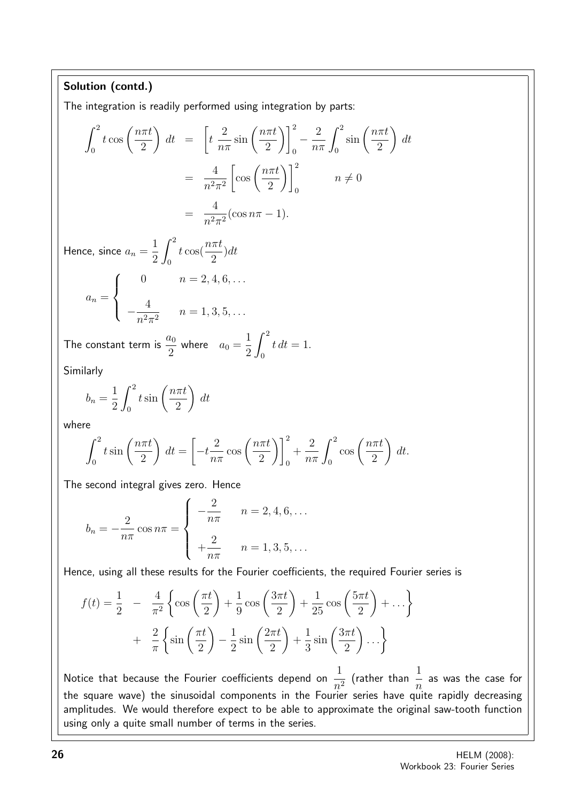### Solution (contd.)

The integration is readily performed using integration by parts:

$$
\int_0^2 t \cos\left(\frac{n\pi t}{2}\right) dt = \left[ t \frac{2}{n\pi} \sin\left(\frac{n\pi t}{2}\right) \right]_0^2 - \frac{2}{n\pi} \int_0^2 \sin\left(\frac{n\pi t}{2}\right) dt
$$

$$
= \frac{4}{n^2 \pi^2} \left[ \cos\left(\frac{n\pi t}{2}\right) \right]_0^2 \qquad n \neq 0
$$

$$
= \frac{4}{n^2 \pi^2} (\cos n\pi - 1).
$$

Hence, since  $a_n =$ 1 2  $\int_0^2$  $\boldsymbol{0}$  $t \cos(\frac{n\pi t}{2})$ 2 )dt  $\sqrt{ }$ 0  $n = 2, 4, 6, \ldots$ 

$$
a_n = \begin{cases} 4 & n = 1, 3, 5, \dots \\ -\frac{4}{n^2 \pi^2} & n = 1, 3, 5, \dots \end{cases}
$$

The constant term is  $\frac{a_0}{2}$  $\frac{a_0}{2}$  where  $a_0 =$ 1 2  $\int_0^2$  $\mathbf{0}$  $t\,dt=1.$ 

Similarly

$$
b_n = \frac{1}{2} \int_0^2 t \sin\left(\frac{n\pi t}{2}\right) dt
$$

where

$$
\int_0^2 t \sin\left(\frac{n\pi t}{2}\right) dt = \left[-t\frac{2}{n\pi} \cos\left(\frac{n\pi t}{2}\right)\right]_0^2 + \frac{2}{n\pi} \int_0^2 \cos\left(\frac{n\pi t}{2}\right) dt.
$$

The second integral gives zero. Hence

$$
b_n = -\frac{2}{n\pi} \cos n\pi = \begin{cases} -\frac{2}{n\pi} & n = 2, 4, 6, \dots \\ +\frac{2}{n\pi} & n = 1, 3, 5, \dots \end{cases}
$$

Hence, using all these results for the Fourier coefficients, the required Fourier series is

$$
f(t) = \frac{1}{2} - \frac{4}{\pi^2} \left\{ \cos\left(\frac{\pi t}{2}\right) + \frac{1}{9} \cos\left(\frac{3\pi t}{2}\right) + \frac{1}{25} \cos\left(\frac{5\pi t}{2}\right) + \dots \right\}
$$

$$
+ \frac{2}{\pi} \left\{ \sin\left(\frac{\pi t}{2}\right) - \frac{1}{2} \sin\left(\frac{2\pi t}{2}\right) + \frac{1}{3} \sin\left(\frac{3\pi t}{2}\right) \dots \right\}
$$

Notice that because the Fourier coefficients depend on  $\frac{1}{2}$  $n^2$ (rather than  $\frac{1}{1}$ n as was the case for the square wave) the sinusoidal components in the Fourier series have quite rapidly decreasing amplitudes. We would therefore expect to be able to approximate the original saw-tooth function using only a quite small number of terms in the series.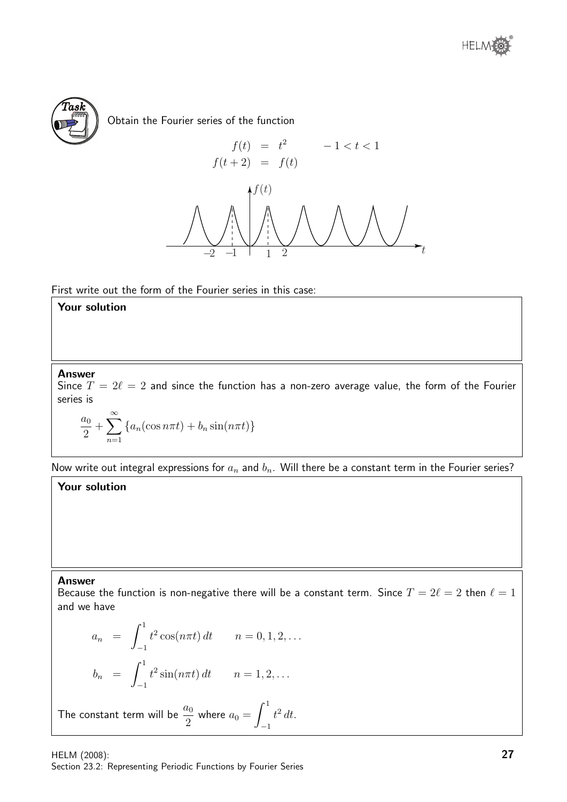



Obtain the Fourier series of the function



First write out the form of the Fourier series in this case:

### Your solution

#### Answer

Since  $T = 2\ell = 2$  and since the function has a non-zero average value, the form of the Fourier series is

$$
\frac{a_0}{2} + \sum_{n=1}^{\infty} \left\{ a_n(\cos n\pi t) + b_n \sin(n\pi t) \right\}
$$

Now write out integral expressions for  $a_n$  and  $b_n$ . Will there be a constant term in the Fourier series?

### Your solution

#### Answer

Because the function is non-negative there will be a constant term. Since  $T = 2\ell = 2$  then  $\ell = 1$ and we have

$$
a_n = \int_{-1}^1 t^2 \cos(n\pi t) dt \qquad n = 0, 1, 2, ...
$$

$$
b_n = \int_{-1}^1 t^2 \sin(n\pi t) dt \qquad n = 1, 2, ...
$$

The constant term will be  $\frac{a_0}{2}$  $\frac{a_0}{2}$  where  $a_0 =$  $\int_0^1$ −1  $t^2 dt$ .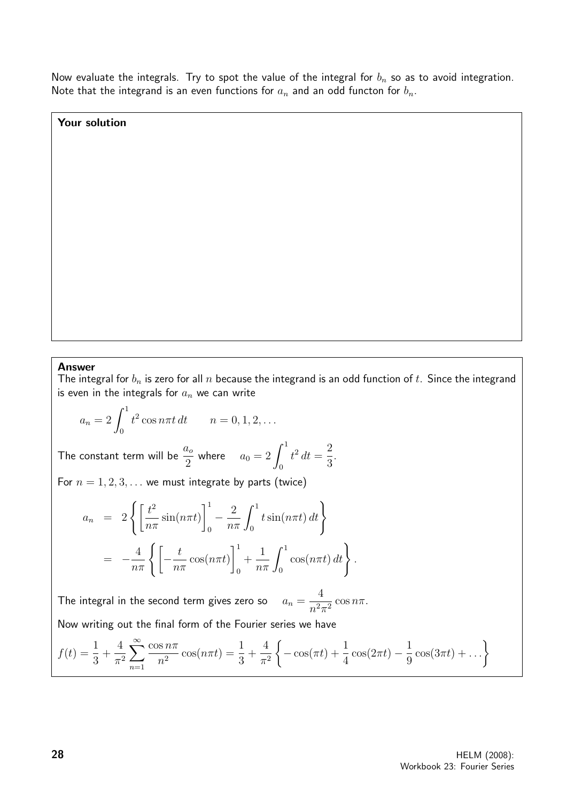Now evaluate the integrals. Try to spot the value of the integral for  $b_n$  so as to avoid integration. Note that the integrand is an even functions for  $a_n$  and an odd functon for  $b_n$ .

Your solution

#### Answer

The integral for  $b_n$  is zero for all  $n$  because the integrand is an odd function of  $t$ . Since the integrand is even in the integrals for  $a_n$  we can write

$$
a_n = 2 \int_0^1 t^2 \cos n\pi t \, dt \qquad n = 0, 1, 2, \dots
$$

The constant term will be  $\frac{a_o}{\Omega}$  $\frac{a_o}{2}$  where  $a_0 = 2 \int_0^1$ 0  $t^2 dt =$ 2 3 .

For  $n = 1, 2, 3, \ldots$  we must integrate by parts (twice)

$$
a_n = 2 \left\{ \left[ \frac{t^2}{n\pi} \sin(n\pi t) \right]_0^1 - \frac{2}{n\pi} \int_0^1 t \sin(n\pi t) dt \right\}
$$
  
= 
$$
- \frac{4}{n\pi} \left\{ \left[ -\frac{t}{n\pi} \cos(n\pi t) \right]_0^1 + \frac{1}{n\pi} \int_0^1 \cos(n\pi t) dt \right\}.
$$

The integral in the second term gives zero so  $a_n =$ 4  $\frac{1}{n^2 \pi^2} \cos n\pi$ .

Now writing out the final form of the Fourier series we have

$$
f(t) = \frac{1}{3} + \frac{4}{\pi^2} \sum_{n=1}^{\infty} \frac{\cos n\pi}{n^2} \cos(n\pi t) = \frac{1}{3} + \frac{4}{\pi^2} \left\{-\cos(\pi t) + \frac{1}{4}\cos(2\pi t) - \frac{1}{9}\cos(3\pi t) + \dots\right\}
$$